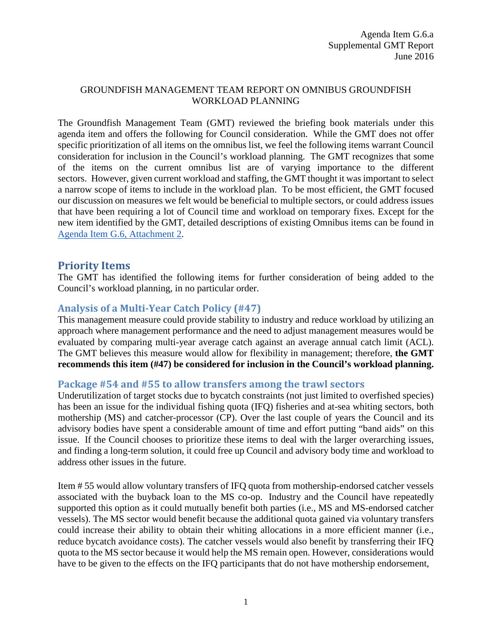### GROUNDFISH MANAGEMENT TEAM REPORT ON OMNIBUS GROUNDFISH WORKLOAD PLANNING

The Groundfish Management Team (GMT) reviewed the briefing book materials under this agenda item and offers the following for Council consideration. While the GMT does not offer specific prioritization of all items on the omnibus list, we feel the following items warrant Council consideration for inclusion in the Council's workload planning. The GMT recognizes that some of the items on the current omnibus list are of varying importance to the different sectors. However, given current workload and staffing, the GMT thought it was important to select a narrow scope of items to include in the workload plan. To be most efficient, the GMT focused our discussion on measures we felt would be beneficial to multiple sectors, or could address issues that have been requiring a lot of Council time and workload on temporary fixes. Except for the new item identified by the GMT, detailed descriptions of existing Omnibus items can be found in [Agenda Item G.6, Attachment 2.](http://www.pcouncil.org/wp-content/uploads/2016/06/G6_Att2_List_MM_for_Consideration_Final_JUN2016BB.pdf)

# **Priority Items**

The GMT has identified the following items for further consideration of being added to the Council's workload planning, in no particular order.

# **Analysis of a Multi-Year Catch Policy (#47)**

This management measure could provide stability to industry and reduce workload by utilizing an approach where management performance and the need to adjust management measures would be evaluated by comparing multi-year average catch against an average annual catch limit (ACL). The GMT believes this measure would allow for flexibility in management; therefore, **the GMT recommends this item (#47) be considered for inclusion in the Council's workload planning.**

## **Package #54 and #55 to allow transfers among the trawl sectors**

Underutilization of target stocks due to bycatch constraints (not just limited to overfished species) has been an issue for the individual fishing quota (IFQ) fisheries and at-sea whiting sectors, both mothership (MS) and catcher-processor (CP). Over the last couple of years the Council and its advisory bodies have spent a considerable amount of time and effort putting "band aids" on this issue. If the Council chooses to prioritize these items to deal with the larger overarching issues, and finding a long-term solution, it could free up Council and advisory body time and workload to address other issues in the future.

Item # 55 would allow voluntary transfers of IFQ quota from mothership-endorsed catcher vessels associated with the buyback loan to the MS co-op. Industry and the Council have repeatedly supported this option as it could mutually benefit both parties (i.e., MS and MS-endorsed catcher vessels). The MS sector would benefit because the additional quota gained via voluntary transfers could increase their ability to obtain their whiting allocations in a more efficient manner (i.e., reduce bycatch avoidance costs). The catcher vessels would also benefit by transferring their IFQ quota to the MS sector because it would help the MS remain open. However, considerations would have to be given to the effects on the IFQ participants that do not have mothership endorsement,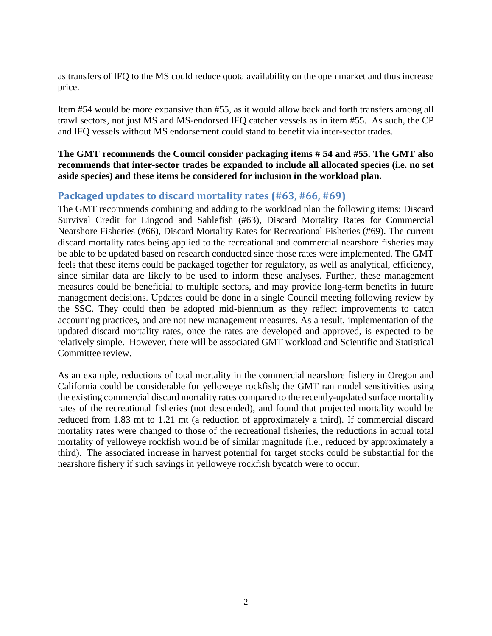as transfers of IFQ to the MS could reduce quota availability on the open market and thus increase price.

Item #54 would be more expansive than #55, as it would allow back and forth transfers among all trawl sectors, not just MS and MS-endorsed IFQ catcher vessels as in item #55. As such, the CP and IFQ vessels without MS endorsement could stand to benefit via inter-sector trades.

#### **The GMT recommends the Council consider packaging items # 54 and #55. The GMT also recommends that inter-sector trades be expanded to include all allocated species (i.e. no set aside species) and these items be considered for inclusion in the workload plan.**

# **Packaged updates to discard mortality rates (#63, #66, #69)**

The GMT recommends combining and adding to the workload plan the following items: Discard Survival Credit for Lingcod and Sablefish (#63), Discard Mortality Rates for Commercial Nearshore Fisheries (#66), Discard Mortality Rates for Recreational Fisheries (#69). The current discard mortality rates being applied to the recreational and commercial nearshore fisheries may be able to be updated based on research conducted since those rates were implemented. The GMT feels that these items could be packaged together for regulatory, as well as analytical, efficiency, since similar data are likely to be used to inform these analyses. Further, these management measures could be beneficial to multiple sectors, and may provide long-term benefits in future management decisions. Updates could be done in a single Council meeting following review by the SSC. They could then be adopted mid-biennium as they reflect improvements to catch accounting practices, and are not new management measures. As a result, implementation of the updated discard mortality rates, once the rates are developed and approved, is expected to be relatively simple. However, there will be associated GMT workload and Scientific and Statistical Committee review.

As an example, reductions of total mortality in the commercial nearshore fishery in Oregon and California could be considerable for yelloweye rockfish; the GMT ran model sensitivities using the existing commercial discard mortality rates compared to the recently-updated surface mortality rates of the recreational fisheries (not descended), and found that projected mortality would be reduced from 1.83 mt to 1.21 mt (a reduction of approximately a third). If commercial discard mortality rates were changed to those of the recreational fisheries, the reductions in actual total mortality of yelloweye rockfish would be of similar magnitude (i.e., reduced by approximately a third). The associated increase in harvest potential for target stocks could be substantial for the nearshore fishery if such savings in yelloweye rockfish bycatch were to occur.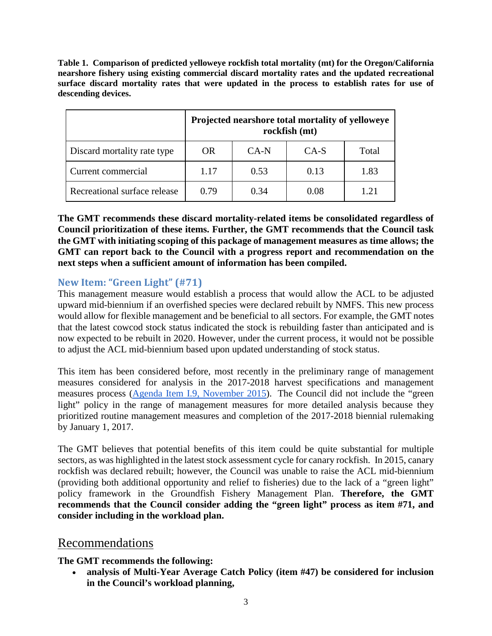**Table 1. Comparison of predicted yelloweye rockfish total mortality (mt) for the Oregon/California nearshore fishery using existing commercial discard mortality rates and the updated recreational surface discard mortality rates that were updated in the process to establish rates for use of descending devices.** 

|                              | Projected nearshore total mortality of yelloweye<br>rockfish (mt) |      |      |       |
|------------------------------|-------------------------------------------------------------------|------|------|-------|
| Discard mortality rate type  | <b>OR</b>                                                         | CA-N | CA-S | Total |
| Current commercial           | 1.17                                                              | 0.53 | 0.13 | 1.83  |
| Recreational surface release | 0.79                                                              | 0.34 | 0.08 | 1.21  |

**The GMT recommends these discard mortality-related items be consolidated regardless of Council prioritization of these items. Further, the GMT recommends that the Council task the GMT with initiating scoping of this package of management measures as time allows; the GMT can report back to the Council with a progress report and recommendation on the next steps when a sufficient amount of information has been compiled.**

# **New Item: "Green Light" (#71)**

This management measure would establish a process that would allow the ACL to be adjusted upward mid-biennium if an overfished species were declared rebuilt by NMFS. This new process would allow for flexible management and be beneficial to all sectors. For example, the GMT notes that the latest cowcod stock status indicated the stock is rebuilding faster than anticipated and is now expected to be rebuilt in 2020. However, under the current process, it would not be possible to adjust the ACL mid-biennium based upon updated understanding of stock status.

This item has been considered before, most recently in the preliminary range of management measures considered for analysis in the 2017-2018 harvest specifications and management measures process [\(Agenda Item I.9, November 2015\)](http://www.pcouncil.org/wp-content/uploads/2015/10/I9__SitSum_2017-2018_Nov2015BB.pdf). The Council did not include the "green light" policy in the range of management measures for more detailed analysis because they prioritized routine management measures and completion of the 2017-2018 biennial rulemaking by January 1, 2017.

The GMT believes that potential benefits of this item could be quite substantial for multiple sectors, as was highlighted in the latest stock assessment cycle for canary rockfish. In 2015, canary rockfish was declared rebuilt; however, the Council was unable to raise the ACL mid-biennium (providing both additional opportunity and relief to fisheries) due to the lack of a "green light" policy framework in the Groundfish Fishery Management Plan. **Therefore, the GMT recommends that the Council consider adding the "green light" process as item #71, and consider including in the workload plan.**

# Recommendations

## **The GMT recommends the following:**

• **analysis of Multi-Year Average Catch Policy (item #47) be considered for inclusion in the Council's workload planning,**